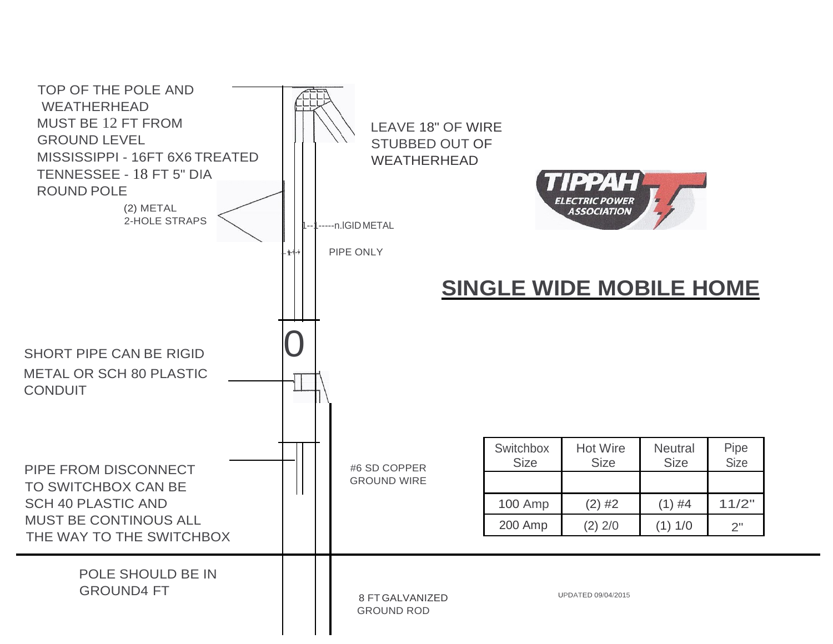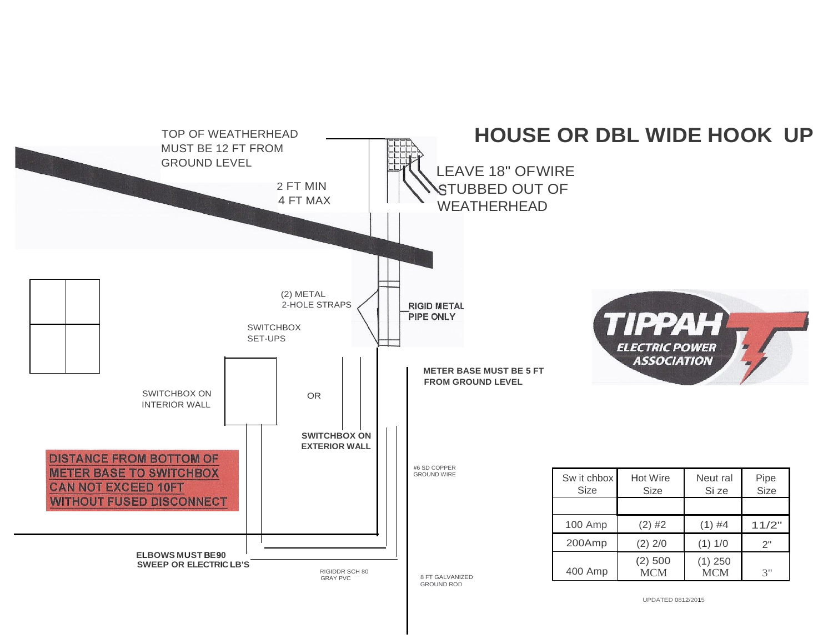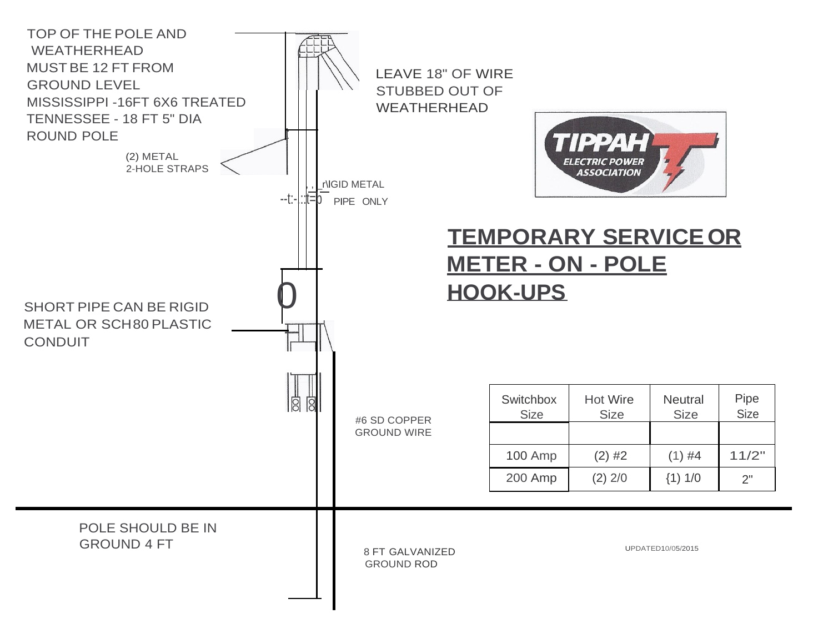